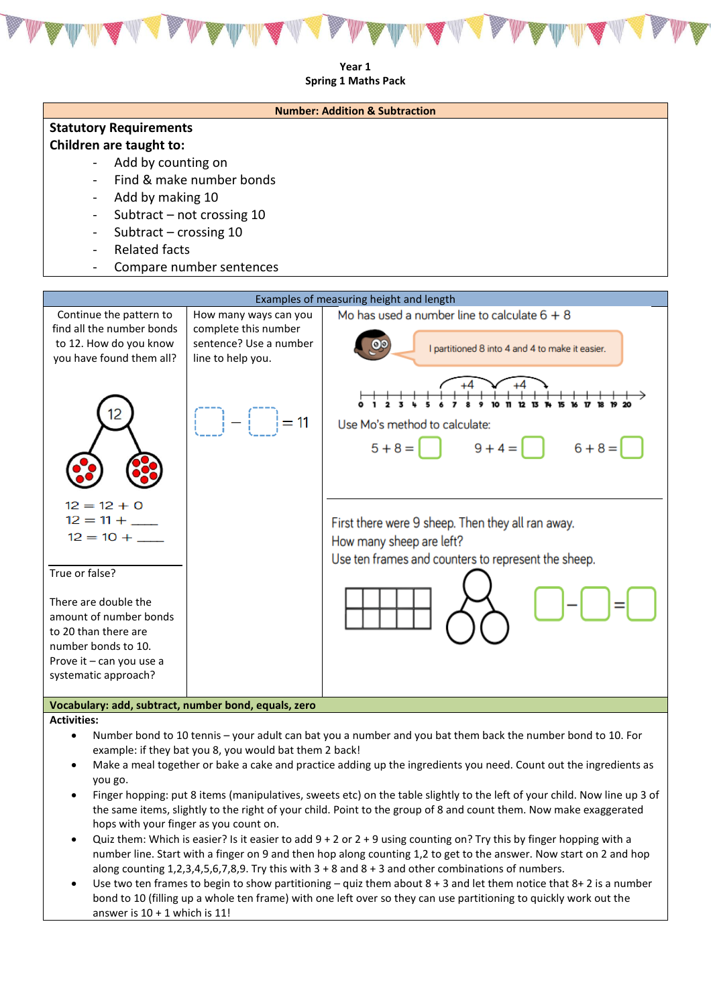

**Year 1 Spring 1 Maths Pack** 



- Finger hopping: put 8 items (manipulatives, sweets etc) on the table slightly to the left of your child. Now line up 3 of the same items, slightly to the right of your child. Point to the group of 8 and count them. Now make exaggerated hops with your finger as you count on.
- Quiz them: Which is easier? Is it easier to add 9 + 2 or 2 + 9 using counting on? Try this by finger hopping with a number line. Start with a finger on 9 and then hop along counting 1,2 to get to the answer. Now start on 2 and hop along counting  $1,2,3,4,5,6,7,8,9$ . Try this with  $3 + 8$  and  $8 + 3$  and other combinations of numbers.
- Use two ten frames to begin to show partitioning quiz them about  $8 + 3$  and let them notice that  $8 + 2$  is a number bond to 10 (filling up a whole ten frame) with one left over so they can use partitioning to quickly work out the answer is  $10 + 1$  which is 11!